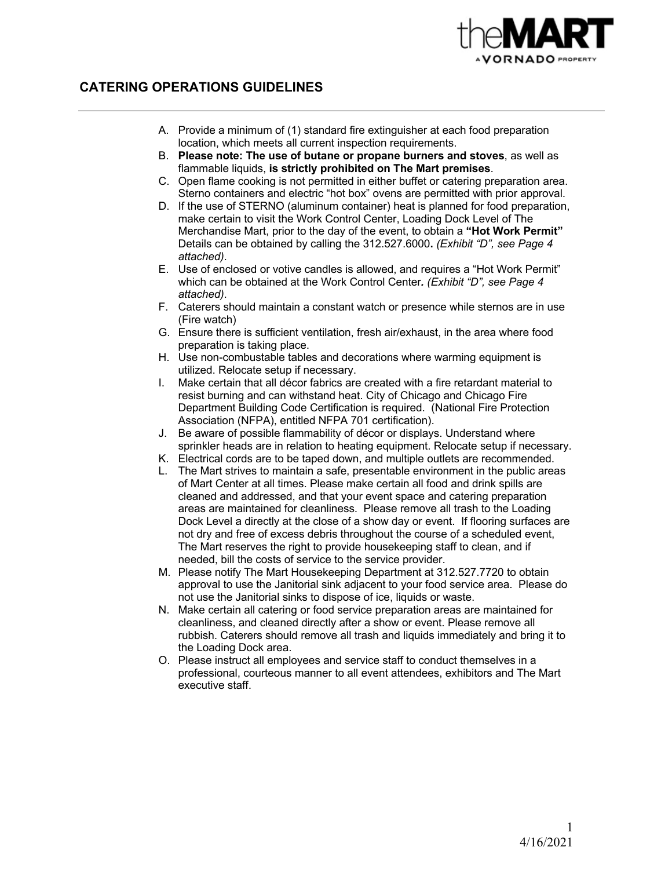

# **CATERING OPERATIONS GUIDELINES**

- A. Provide a minimum of (1) standard fire extinguisher at each food preparation location, which meets all current inspection requirements.
- B. **Please note: The use of butane or propane burners and stoves**, as well as flammable liquids, **is strictly prohibited on The Mart premises**.
- C. Open flame cooking is not permitted in either buffet or catering preparation area. Sterno containers and electric "hot box" ovens are permitted with prior approval.
- D. If the use of STERNO (aluminum container) heat is planned for food preparation, make certain to visit the Work Control Center, Loading Dock Level of The Merchandise Mart, prior to the day of the event, to obtain a **"Hot Work Permit"** Details can be obtained by calling the 312.527.6000**.** *(Exhibit "D", see Page 4 attached)*.
- E. Use of enclosed or votive candles is allowed, and requires a "Hot Work Permit" which can be obtained at the Work Control Center*. (Exhibit "D", see Page 4 attached)*.
- F. Caterers should maintain a constant watch or presence while sternos are in use (Fire watch)
- G. Ensure there is sufficient ventilation, fresh air/exhaust, in the area where food preparation is taking place.
- H. Use non-combustable tables and decorations where warming equipment is utilized. Relocate setup if necessary.
- I. Make certain that all décor fabrics are created with a fire retardant material to resist burning and can withstand heat. City of Chicago and Chicago Fire Department Building Code Certification is required. (National Fire Protection Association (NFPA), entitled NFPA 701 certification).
- J. Be aware of possible flammability of décor or displays. Understand where sprinkler heads are in relation to heating equipment. Relocate setup if necessary.
- K. Electrical cords are to be taped down, and multiple outlets are recommended.
- L. The Mart strives to maintain a safe, presentable environment in the public areas of Mart Center at all times. Please make certain all food and drink spills are cleaned and addressed, and that your event space and catering preparation areas are maintained for cleanliness. Please remove all trash to the Loading Dock Level a directly at the close of a show day or event. If flooring surfaces are not dry and free of excess debris throughout the course of a scheduled event, The Mart reserves the right to provide housekeeping staff to clean, and if needed, bill the costs of service to the service provider.
- M. Please notify The Mart Housekeeping Department at 312.527.7720 to obtain approval to use the Janitorial sink adjacent to your food service area. Please do not use the Janitorial sinks to dispose of ice, liquids or waste.
- N. Make certain all catering or food service preparation areas are maintained for cleanliness, and cleaned directly after a show or event. Please remove all rubbish. Caterers should remove all trash and liquids immediately and bring it to the Loading Dock area.
- O. Please instruct all employees and service staff to conduct themselves in a professional, courteous manner to all event attendees, exhibitors and The Mart executive staff.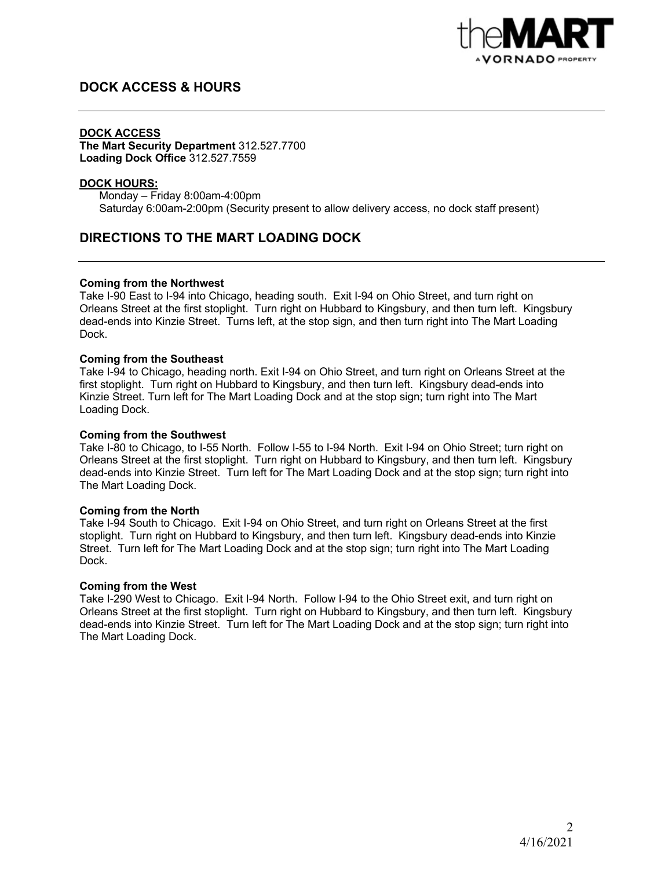

# **DOCK ACCESS & HOURS**

### **DOCK ACCESS**

**The Mart Security Department** 312.527.7700 **Loading Dock Office** 312.527.7559

#### **DOCK HOURS:**

Monday – Friday 8:00am-4:00pm Saturday 6:00am-2:00pm (Security present to allow delivery access, no dock staff present)

# **DIRECTIONS TO THE MART LOADING DOCK**

### **Coming from the Northwest**

Take I-90 East to I-94 into Chicago, heading south. Exit I-94 on Ohio Street, and turn right on Orleans Street at the first stoplight. Turn right on Hubbard to Kingsbury, and then turn left. Kingsbury dead-ends into Kinzie Street. Turns left, at the stop sign, and then turn right into The Mart Loading Dock.

### **Coming from the Southeast**

Take I-94 to Chicago, heading north. Exit I-94 on Ohio Street, and turn right on Orleans Street at the first stoplight. Turn right on Hubbard to Kingsbury, and then turn left. Kingsbury dead-ends into Kinzie Street. Turn left for The Mart Loading Dock and at the stop sign; turn right into The Mart Loading Dock.

#### **Coming from the Southwest**

Take I-80 to Chicago, to I-55 North. Follow I-55 to I-94 North. Exit I-94 on Ohio Street; turn right on Orleans Street at the first stoplight. Turn right on Hubbard to Kingsbury, and then turn left. Kingsbury dead-ends into Kinzie Street. Turn left for The Mart Loading Dock and at the stop sign; turn right into The Mart Loading Dock.

#### **Coming from the North**

Take I-94 South to Chicago. Exit I-94 on Ohio Street, and turn right on Orleans Street at the first stoplight. Turn right on Hubbard to Kingsbury, and then turn left. Kingsbury dead-ends into Kinzie Street. Turn left for The Mart Loading Dock and at the stop sign; turn right into The Mart Loading Dock.

#### **Coming from the West**

Take I-290 West to Chicago. Exit I-94 North. Follow I-94 to the Ohio Street exit, and turn right on Orleans Street at the first stoplight. Turn right on Hubbard to Kingsbury, and then turn left. Kingsbury dead-ends into Kinzie Street. Turn left for The Mart Loading Dock and at the stop sign; turn right into The Mart Loading Dock.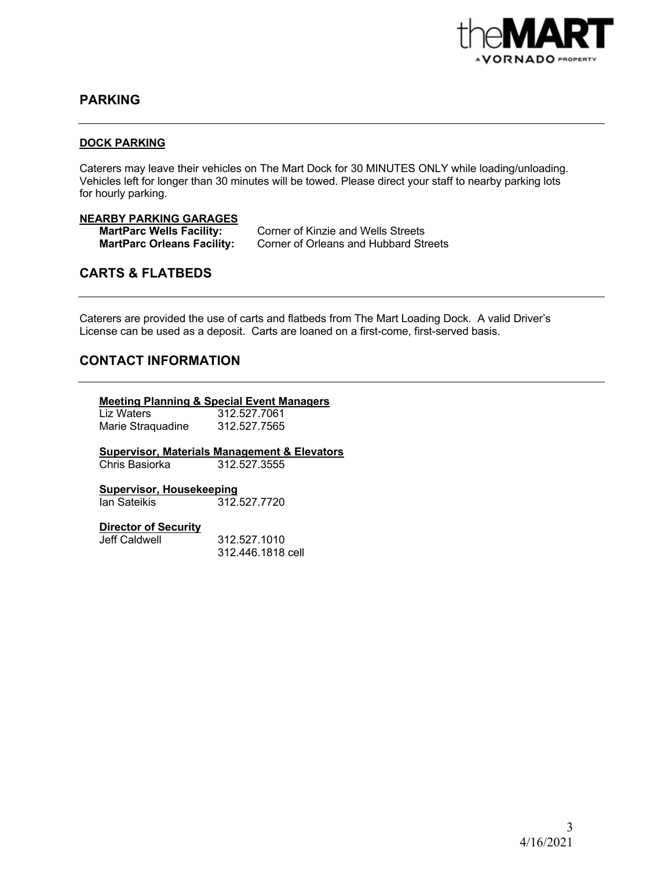

## **PARKING**

#### **DOCK PARKING**

Caterers may leave their vehicles on The Mart Dock for 30 MINUTES ONLY while loading/unloading. Vehicles left for longer than 30 minutes will be towed. Please direct your staff to nearby parking lots for hourly parking.

### **NEARBY PARKING GARAGES**

**MartParc Wells Facility:** Corner of Kinzie and Wells Streets **MartParc Orleans Facility:** Corner of Orleans and Hubbard Streets

# **CARTS & FLATBEDS**

Caterers are provided the use of carts and flatbeds from The Mart Loading Dock. A valid Driver's License can be used as a deposit. Carts are loaned on a first-come, first-served basis.

### **CONTACT INFORMATION**

#### **Meeting Planning & Special Event Managers**

Liz Waters 312.527.7061 Marie Straquadine 312.527.7565

**Supervisor, Materials Management & Elevators**

Chris Basiorka

**Supervisor, Housekeeping** 312.527.7720

#### **Director of Security**

Jeff Caldwell 312.527.1010 312.446.1818 cell